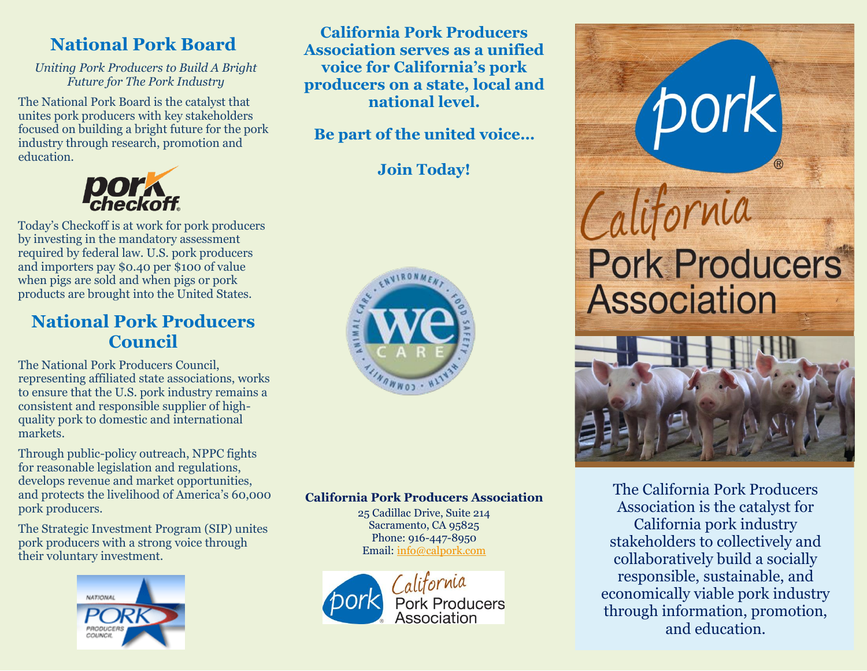# **National Pork Board**

*Uniting Pork Producers to Build A Bright Future for The Pork Industry*

The National Pork Board is the catalyst that unites pork producers with key stakeholders focused on building a bright future for the pork industry through research, promotion and education.



Today's Checkoff is at work for pork producers by investing in the mandatory assessment required by federal law. U.S. pork producers and importers pay \$0.40 per \$100 of value when pigs are sold and when pigs or pork products are brought into the United States.

## **National Pork Producers Council**

The National Pork Producers Council, representing affiliated state associations, works to ensure that the U.S. pork industry remains a consistent and responsible supplier of highquality pork to domestic and international markets.

Through public-policy outreach, NPPC fights for reasonable legislation and regulations, develops revenue and market opportunities, and protects the livelihood of America's 60,000 pork producers.

The Strategic Investment Program (SIP) unites pork producers with a strong voice through their voluntary investment.



**California Pork Producers Association serves as a unified voice for California's pork producers on a state, local and national level.**

**Be part of the united voice…**

**Join Today!**



### **California Pork Producers Association**

25 Cadillac Drive, Suite 214 Sacramento, CA 95825 Phone: 916-447-8950 Email[: info@calpork.com](mailto:info@calpork.com)







The California Pork Producers Association is the catalyst for California pork industry stakeholders to collectively and collaboratively build a socially responsible, sustainable, and economically viable pork industry through information, promotion, and education.